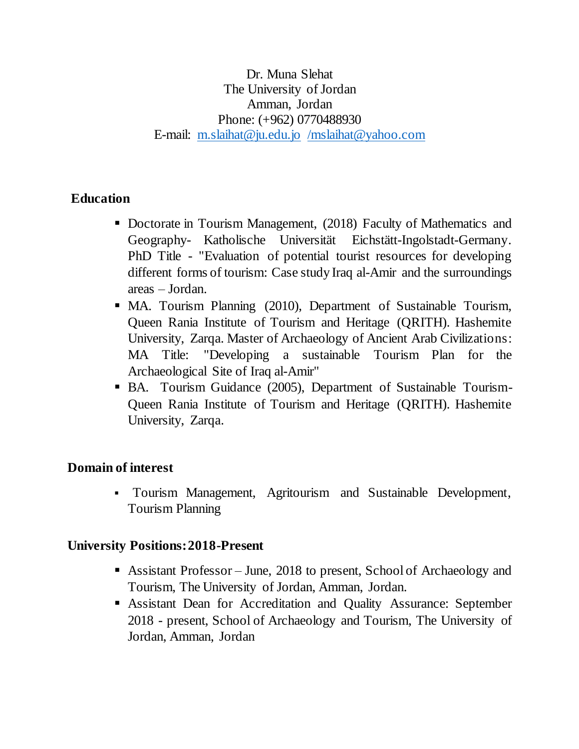Dr. Muna Slehat The University of Jordan Amman, Jordan Phone: (+962) 0770488930 E-mail: [m.slaihat@ju.edu.jo](mailto:m.slaihat@ju.edu.jo) [/mslaihat@yahoo.com](mailto:/mslaihat@yahoo.com)

# **Education**

- Doctorate in Tourism Management, (2018) Faculty of Mathematics and Geography- Katholische Universität Eichstätt-Ingolstadt-Germany. PhD Title - "Evaluation of potential tourist resources for developing different forms of tourism: Case study Iraq al-Amir and the surroundings areas – Jordan.
- MA. Tourism Planning (2010), Department of Sustainable Tourism, Queen Rania Institute of Tourism and Heritage (QRITH). Hashemite University, Zarqa. Master of Archaeology of Ancient Arab Civilizations: MA Title: "Developing a sustainable Tourism Plan for the Archaeological Site of Iraq al-Amir"
- BA. Tourism Guidance (2005), Department of Sustainable Tourism-Queen Rania Institute of Tourism and Heritage (QRITH). Hashemite University, Zarqa.

# **Domain of interest**

 Tourism Management, Agritourism and Sustainable Development, Tourism Planning

# **University Positions: 2018-Present**

- Assistant Professor June, 2018 to present, School of Archaeology and Tourism, The University of Jordan, Amman, Jordan.
- Assistant Dean for Accreditation and Quality Assurance: September 2018 - present, School of Archaeology and Tourism, The University of Jordan, Amman, Jordan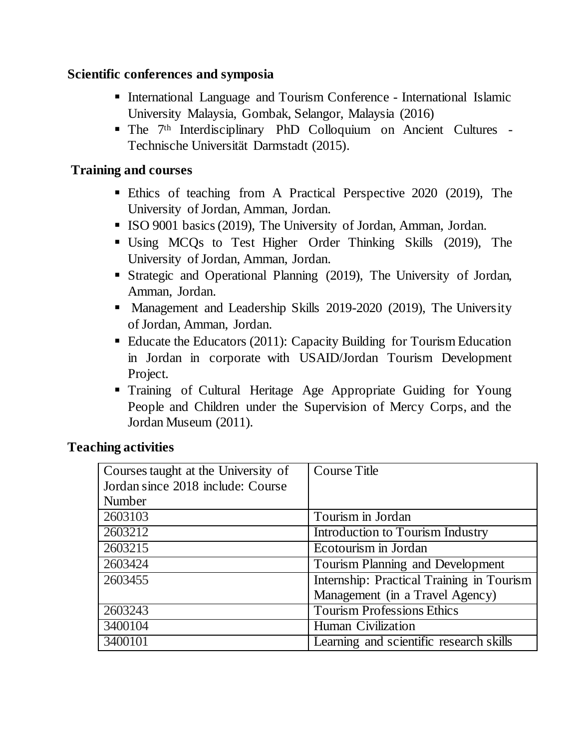## **Scientific conferences and symposia**

- International Language and Tourism Conference International Islamic University Malaysia, Gombak, Selangor, Malaysia (2016)
- The 7th Interdisciplinary PhD Colloquium on Ancient Cultures Technische Universität Darmstadt (2015).

# **Training and courses**

- Ethics of teaching from A Practical Perspective 2020 (2019), The University of Jordan, Amman, Jordan.
- ISO 9001 basics (2019), The University of Jordan, Amman, Jordan.
- Using MCQs to Test Higher Order Thinking Skills (2019), The University of Jordan, Amman, Jordan.
- Strategic and Operational Planning (2019), The University of Jordan, Amman, Jordan.
- Management and Leadership Skills 2019-2020 (2019), The University of Jordan, Amman, Jordan.
- Educate the Educators (2011): Capacity Building for Tourism Education in Jordan in corporate with USAID/Jordan Tourism Development Project.
- Training of Cultural Heritage Age Appropriate Guiding for Young People and Children under the Supervision of Mercy Corps, and the Jordan Museum (2011).

# **Teaching activities**

| Courses taught at the University of | <b>Course Title</b>                       |
|-------------------------------------|-------------------------------------------|
| Jordan since 2018 include: Course   |                                           |
| Number                              |                                           |
| 2603103                             | Tourism in Jordan                         |
| 2603212                             | Introduction to Tourism Industry          |
| 2603215                             | Ecotourism in Jordan                      |
| 2603424                             | Tourism Planning and Development          |
| 2603455                             | Internship: Practical Training in Tourism |
|                                     | Management (in a Travel Agency)           |
| 2603243                             | <b>Tourism Professions Ethics</b>         |
| 3400104                             | Human Civilization                        |
| 3400101                             | Learning and scientific research skills   |